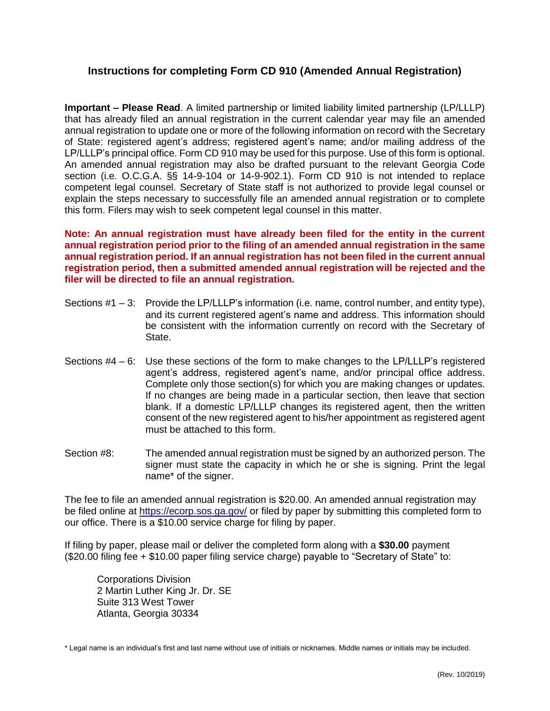## **Instructions for completing Form CD 910 (Amended Annual Registration)**

**Important – Please Read**. A limited partnership or limited liability limited partnership (LP/LLLP) that has already filed an annual registration in the current calendar year may file an amended annual registration to update one or more of the following information on record with the Secretary of State: registered agent's address; registered agent's name; and/or mailing address of the LP/LLLP's principal office. Form CD 910 may be used for this purpose. Use of this form is optional. An amended annual registration may also be drafted pursuant to the relevant Georgia Code section (i.e. O.C.G.A. §§ 14-9-104 or 14-9-902.1). Form CD 910 is not intended to replace competent legal counsel. Secretary of State staff is not authorized to provide legal counsel or explain the steps necessary to successfully file an amended annual registration or to complete this form. Filers may wish to seek competent legal counsel in this matter.

**Note: An annual registration must have already been filed for the entity in the current annual registration period prior to the filing of an amended annual registration in the same annual registration period. If an annual registration has not been filed in the current annual registration period, then a submitted amended annual registration will be rejected and the filer will be directed to file an annual registration.**

- Sections #1 3: Provide the LP/LLLP's information (i.e. name, control number, and entity type), and its current registered agent's name and address. This information should be consistent with the information currently on record with the Secretary of State.
- Sections #4 6: Use these sections of the form to make changes to the LP/LLLP's registered agent's address, registered agent's name, and/or principal office address. Complete only those section(s) for which you are making changes or updates. If no changes are being made in a particular section, then leave that section blank. If a domestic LP/LLLP changes its registered agent, then the written consent of the new registered agent to his/her appointment as registered agent must be attached to this form.
- Section #8: The amended annual registration must be signed by an authorized person. The signer must state the capacity in which he or she is signing. Print the legal name\* of the signer.

The fee to file an amended annual registration is \$20.00. An amended annual registration may be filed online at<https://ecorp.sos.ga.gov/> or filed by paper by submitting this completed form to our office. There is a \$10.00 service charge for filing by paper.

If filing by paper, please mail or deliver the completed form along with a **\$30.00** payment (\$20.00 filing fee + \$10.00 paper filing service charge) payable to "Secretary of State" to:

Corporations Division 2 Martin Luther King Jr. Dr. SE Suite 313 West Tower Atlanta, Georgia 30334

\* Legal name is an individual's first and last name without use of initials or nicknames. Middle names or initials may be included.